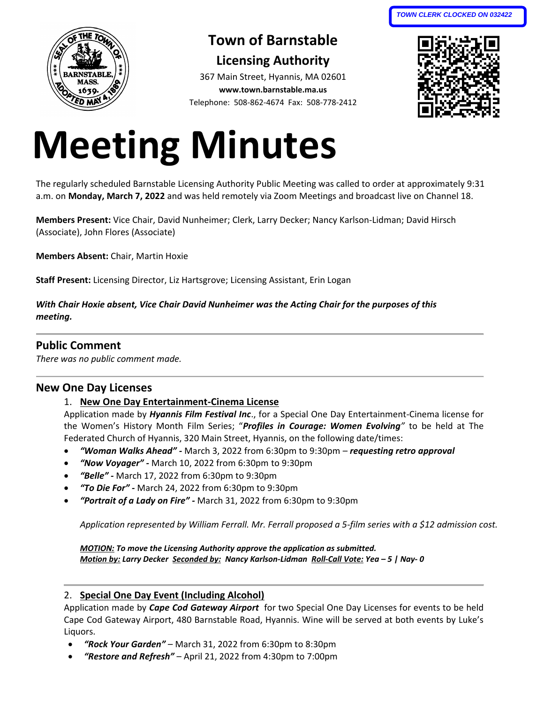

# **Town of Barnstable Licensing Authority**

367 Main Street, Hyannis, MA 02601 **www.town.barnstable.ma.us** Telephone: 508-862-4674 Fax: 508-778-2412



# **Meeting Minutes**

The regularly scheduled Barnstable Licensing Authority Public Meeting was called to order at approximately 9:31 a.m. on **Monday, March 7, 2022** and was held remotely via Zoom Meetings and broadcast live on Channel 18.

**Members Present:** Vice Chair, David Nunheimer; Clerk, Larry Decker; Nancy Karlson-Lidman; David Hirsch (Associate), John Flores (Associate)

**Members Absent:** Chair, Martin Hoxie

**Staff Present:** Licensing Director, Liz Hartsgrove; Licensing Assistant, Erin Logan

*With Chair Hoxie absent, Vice Chair David Nunheimer was the Acting Chair for the purposes of this meeting.*

# **Public Comment**

*There was no public comment made.*

### **New One Day Licenses**

#### 1. **New One Day Entertainment-Cinema License**

Application made by *Hyannis Film Festival Inc*., for a Special One Day Entertainment-Cinema license for the Women's History Month Film Series; "*Profiles in Courage: Women Evolving"* to be held at The Federated Church of Hyannis, 320 Main Street, Hyannis, on the following date/times:

- *"Woman Walks Ahead" -* March 3, 2022 from 6:30pm to 9:30pm *requesting retro approval*
- *"Now Voyager" -* March 10, 2022 from 6:30pm to 9:30pm
- *"Belle" -* March 17, 2022 from 6:30pm to 9:30pm
- *"To Die For" -* March 24, 2022 from 6:30pm to 9:30pm
- *"Portrait of a Lady on Fire" -* March 31, 2022 from 6:30pm to 9:30pm

*Application represented by William Ferrall. Mr. Ferrall proposed a 5-film series with a \$12 admission cost.* 

*MOTION: To move the Licensing Authority approve the application as submitted. Motion by: Larry Decker Seconded by: Nancy Karlson-Lidman Roll-Call Vote: Yea – 5 | Nay- 0*

#### 2. **Special One Day Event (Including Alcohol)**

Application made by *Cape Cod Gateway Airport* for two Special One Day Licenses for events to be held Cape Cod Gateway Airport, 480 Barnstable Road, Hyannis. Wine will be served at both events by Luke's Liquors.

- *"Rock Your Garden" –* March 31, 2022 from 6:30pm to 8:30pm
- *"Restore and Refresh"* April 21, 2022 from 4:30pm to 7:00pm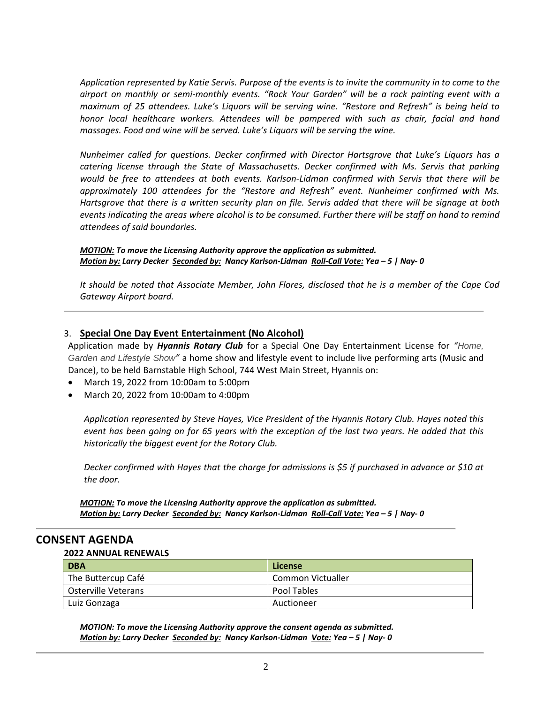*Application represented by Katie Servis. Purpose of the events is to invite the community in to come to the airport on monthly or semi-monthly events. "Rock Your Garden" will be a rock painting event with a maximum of 25 attendees. Luke's Liquors will be serving wine. "Restore and Refresh" is being held to honor local healthcare workers. Attendees will be pampered with such as chair, facial and hand massages. Food and wine will be served. Luke's Liquors will be serving the wine.*

*Nunheimer called for questions. Decker confirmed with Director Hartsgrove that Luke's Liquors has a catering license through the State of Massachusetts. Decker confirmed with Ms. Servis that parking would be free to attendees at both events. Karlson-Lidman confirmed with Servis that there will be approximately 100 attendees for the "Restore and Refresh" event. Nunheimer confirmed with Ms. Hartsgrove that there is a written security plan on file. Servis added that there will be signage at both events indicating the areas where alcohol is to be consumed. Further there will be staff on hand to remind attendees of said boundaries.*

*MOTION: To move the Licensing Authority approve the application as submitted. Motion by: Larry Decker Seconded by: Nancy Karlson-Lidman Roll-Call Vote: Yea – 5 | Nay- 0*

*It should be noted that Associate Member, John Flores, disclosed that he is a member of the Cape Cod Gateway Airport board.*

#### 3. **Special One Day Event Entertainment (No Alcohol)**

Application made by *Hyannis Rotary Club* for a Special One Day Entertainment License for *"Home, Garden and Lifestyle Show"* a home show and lifestyle event to include live performing arts (Music and Dance), to be held Barnstable High School, 744 West Main Street, Hyannis on:

- March 19, 2022 from 10:00am to 5:00pm
- March 20, 2022 from 10:00am to 4:00pm

*Application represented by Steve Hayes, Vice President of the Hyannis Rotary Club. Hayes noted this event has been going on for 65 years with the exception of the last two years. He added that this historically the biggest event for the Rotary Club.*

*Decker confirmed with Hayes that the charge for admissions is \$5 if purchased in advance or \$10 at the door.*

*MOTION: To move the Licensing Authority approve the application as submitted. Motion by: Larry Decker Seconded by: Nancy Karlson-Lidman Roll-Call Vote: Yea – 5 | Nay- 0*

#### **CONSENT AGENDA**

#### **2022 ANNUAL RENEWALS**

| <b>DBA</b>                 | License           |
|----------------------------|-------------------|
| The Buttercup Café         | Common Victualler |
| <b>Osterville Veterans</b> | Pool Tables       |
| Luiz Gonzaga               | Auctioneer        |

*MOTION: To move the Licensing Authority approve the consent agenda as submitted. Motion by: Larry Decker Seconded by: Nancy Karlson-Lidman Vote: Yea – 5 | Nay- 0*